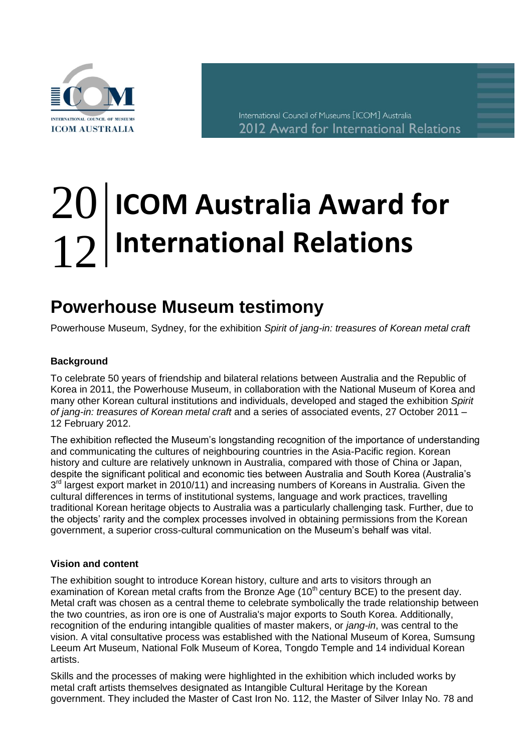

International Council of Museums [ICOM] Australia 2012 Award for International Relations

# **ICOM Australia Award for International Relations** 20 12

## **Powerhouse Museum testimony** Po

Powerhouse Museum, Sydney, for the exhibition *Spirit of jang-in: treasures of Korean metal craft*

### **Background**

To celebrate 50 years of friendship and bilateral relations between Australia and the Republic of Korea in 2011, the Powerhouse Museum, in collaboration with the National Museum of Korea and many other Korean cultural institutions and individuals, developed and staged the exhibition *Spirit of jang-in: treasures of Korean metal craft* and a series of associated events, 27 October 2011 – 12 February 2012.

The exhibition reflected the Museum's longstanding recognition of the importance of understanding and communicating the cultures of neighbouring countries in the Asia-Pacific region. Korean history and culture are relatively unknown in Australia, compared with those of China or Japan, despite the significant political and economic ties between Australia and South Korea (Australia's 3<sup>rd</sup> largest export market in 2010/11) and increasing numbers of Koreans in Australia. Given the cultural differences in terms of institutional systems, language and work practices, travelling traditional Korean heritage objects to Australia was a particularly challenging task. Further, due to the objects' rarity and the complex processes involved in obtaining permissions from the Korean government, a superior cross-cultural communication on the Museum's behalf was vital.

#### **Vision and content**

The exhibition sought to introduce Korean history, culture and arts to visitors through an examination of Korean metal crafts from the Bronze Age (10<sup>th</sup> century BCE) to the present day. Metal craft was chosen as a central theme to celebrate symbolically the trade relationship between the two countries, as iron ore is one of Australia's major exports to South Korea. Additionally, recognition of the enduring intangible qualities of master makers, or *jang-in*, was central to the vision. A vital consultative process was established with the National Museum of Korea, Sumsung Leeum Art Museum, National Folk Museum of Korea, Tongdo Temple and 14 individual Korean artists.

Skills and the processes of making were highlighted in the exhibition which included works by metal craft artists themselves designated as Intangible Cultural Heritage by the Korean government. They included the Master of Cast Iron No. 112, the Master of Silver Inlay No. 78 and